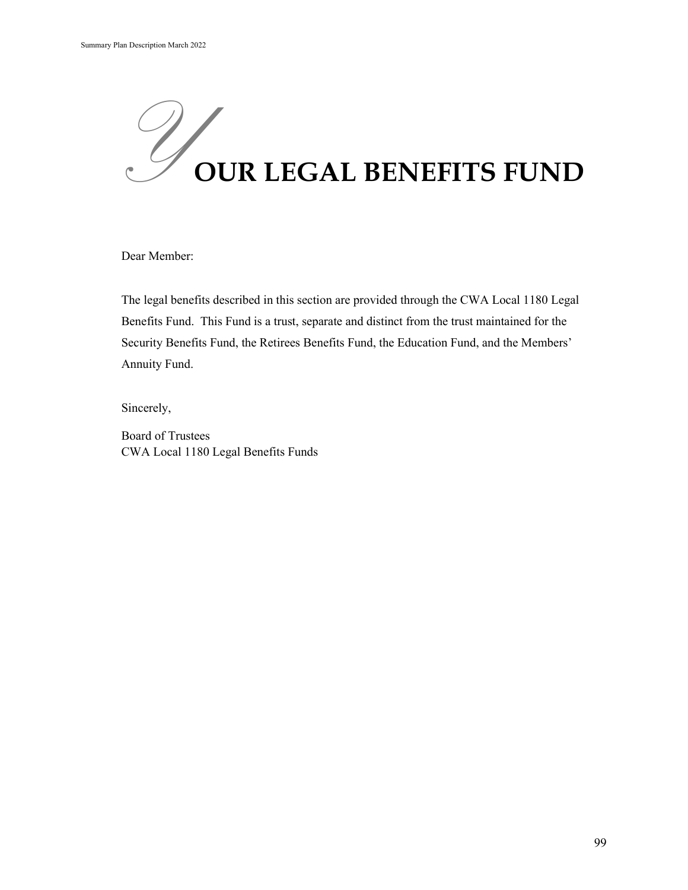

Dear Member:

The legal benefits described in this section are provided through the CWA Local 1180 Legal Benefits Fund. This Fund is a trust, separate and distinct from the trust maintained for the Security Benefits Fund, the Retirees Benefits Fund, the Education Fund, and the Members' Annuity Fund.

Sincerely,

Board of Trustees CWA Local 1180 Legal Benefits Funds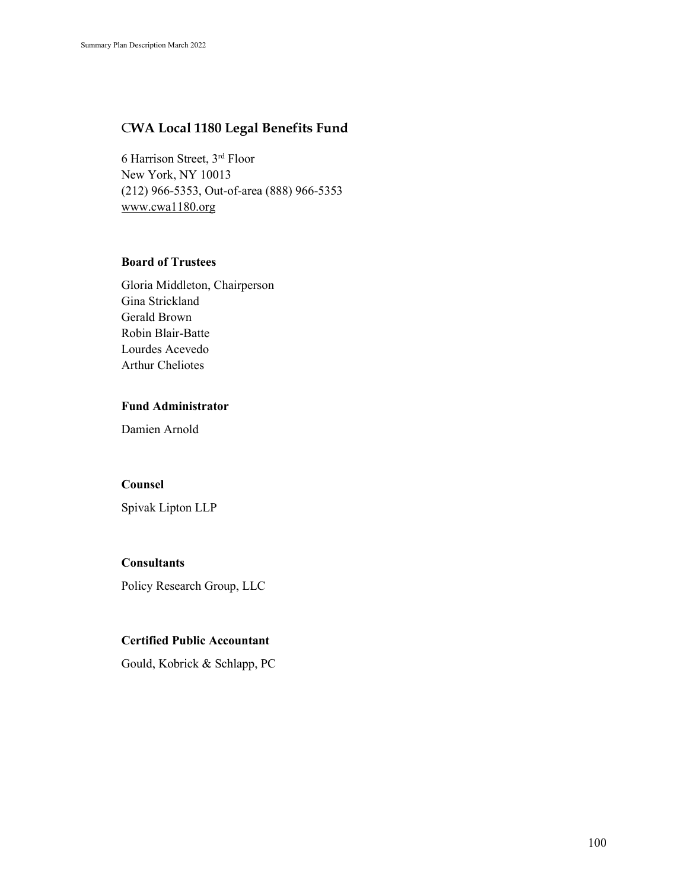## C**WA Local 1180 Legal Benefits Fund**

6 Harrison Street, 3rd Floor New York, NY 10013 (212) 966-5353, Out-of-area (888) 966-5353 [www.cwa1180.org](http://www.cwa1180.org/)

#### **Board of Trustees**

Gloria Middleton, Chairperson Gina Strickland Gerald Brown Robin Blair-Batte Lourdes Acevedo Arthur Cheliotes

#### **Fund Administrator**

Damien Arnold

### **Counsel**

Spivak Lipton LLP

#### **Consultants**

Policy Research Group, LLC

#### **Certified Public Accountant**

Gould, Kobrick & Schlapp, PC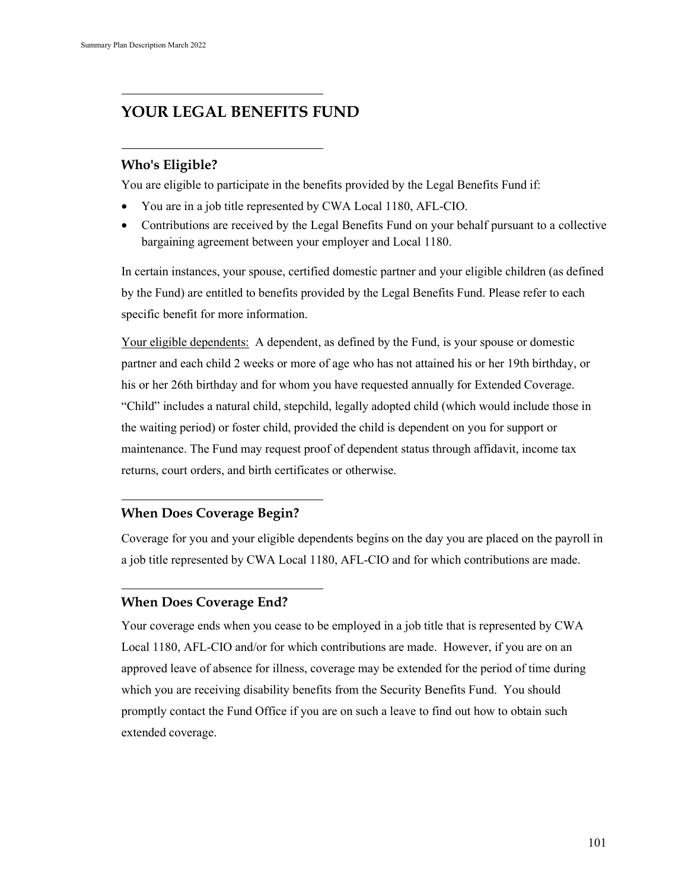# **YOUR LEGAL BENEFITS FUND**

## **Who's Eligible?**

You are eligible to participate in the benefits provided by the Legal Benefits Fund if:

- You are in a job title represented by CWA Local 1180, AFL-CIO.
- Contributions are received by the Legal Benefits Fund on your behalf pursuant to a collective bargaining agreement between your employer and Local 1180.

In certain instances, your spouse, certified domestic partner and your eligible children (as defined by the Fund) are entitled to benefits provided by the Legal Benefits Fund. Please refer to each specific benefit for more information.

Your eligible dependents: A dependent, as defined by the Fund, is your spouse or domestic partner and each child 2 weeks or more of age who has not attained his or her 19th birthday, or his or her 26th birthday and for whom you have requested annually for Extended Coverage. "Child" includes a natural child, stepchild, legally adopted child (which would include those in the waiting period) or foster child, provided the child is dependent on you for support or maintenance. The Fund may request proof of dependent status through affidavit, income tax returns, court orders, and birth certificates or otherwise.

## **When Does Coverage Begin?**

Coverage for you and your eligible dependents begins on the day you are placed on the payroll in a job title represented by CWA Local 1180, AFL-CIO and for which contributions are made.

## **When Does Coverage End?**

Your coverage ends when you cease to be employed in a job title that is represented by CWA Local 1180, AFL-CIO and/or for which contributions are made. However, if you are on an approved leave of absence for illness, coverage may be extended for the period of time during which you are receiving disability benefits from the Security Benefits Fund. You should promptly contact the Fund Office if you are on such a leave to find out how to obtain such extended coverage.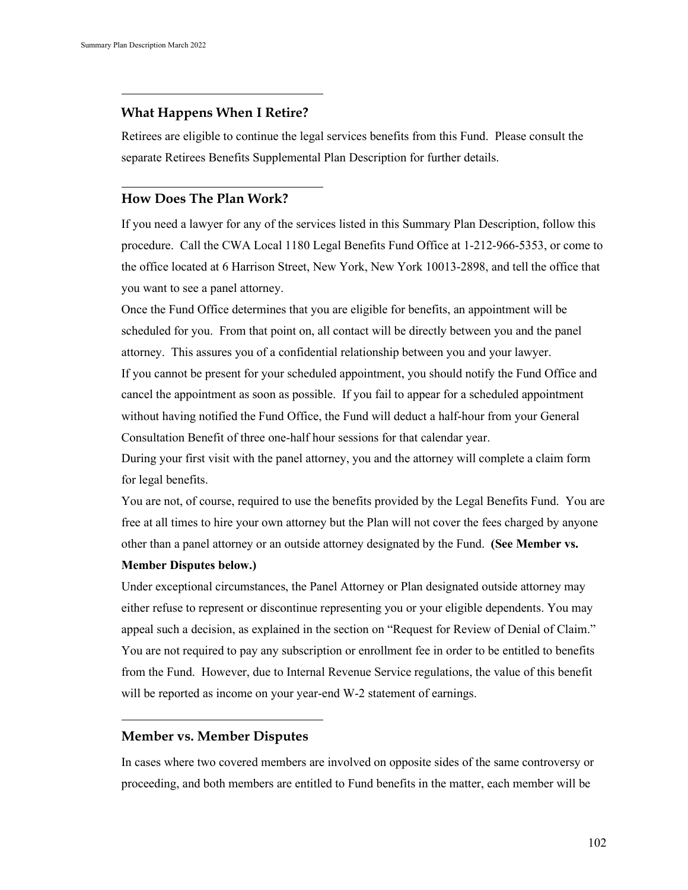## **What Happens When I Retire?**

Retirees are eligible to continue the legal services benefits from this Fund. Please consult the separate Retirees Benefits Supplemental Plan Description for further details.

## **How Does The Plan Work?**

If you need a lawyer for any of the services listed in this Summary Plan Description, follow this procedure. Call the CWA Local 1180 Legal Benefits Fund Office at 1-212-966-5353, or come to the office located at 6 Harrison Street, New York, New York 10013-2898, and tell the office that you want to see a panel attorney.

Once the Fund Office determines that you are eligible for benefits, an appointment will be scheduled for you. From that point on, all contact will be directly between you and the panel attorney. This assures you of a confidential relationship between you and your lawyer. If you cannot be present for your scheduled appointment, you should notify the Fund Office and cancel the appointment as soon as possible. If you fail to appear for a scheduled appointment without having notified the Fund Office, the Fund will deduct a half-hour from your General Consultation Benefit of three one-half hour sessions for that calendar year.

During your first visit with the panel attorney, you and the attorney will complete a claim form for legal benefits.

You are not, of course, required to use the benefits provided by the Legal Benefits Fund. You are free at all times to hire your own attorney but the Plan will not cover the fees charged by anyone other than a panel attorney or an outside attorney designated by the Fund. **(See Member vs.** 

#### **Member Disputes below.)**

Under exceptional circumstances, the Panel Attorney or Plan designated outside attorney may either refuse to represent or discontinue representing you or your eligible dependents. You may appeal such a decision, as explained in the section on "Request for Review of Denial of Claim." You are not required to pay any subscription or enrollment fee in order to be entitled to benefits from the Fund. However, due to Internal Revenue Service regulations, the value of this benefit will be reported as income on your year-end W-2 statement of earnings.

## **Member vs. Member Disputes**

In cases where two covered members are involved on opposite sides of the same controversy or proceeding, and both members are entitled to Fund benefits in the matter, each member will be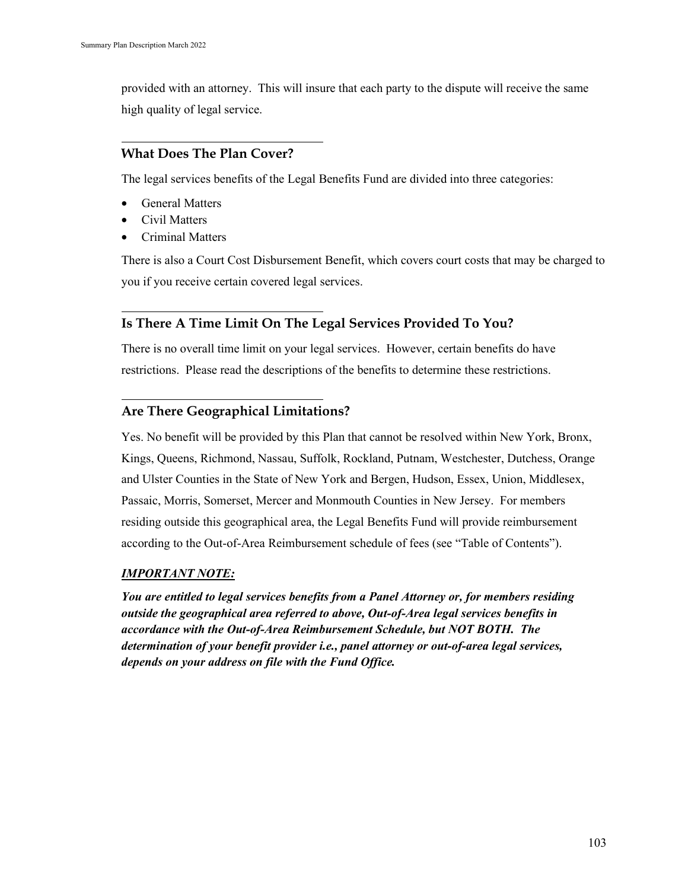provided with an attorney. This will insure that each party to the dispute will receive the same high quality of legal service.

## **What Does The Plan Cover?**

The legal services benefits of the Legal Benefits Fund are divided into three categories:

- General Matters
- Civil Matters
- Criminal Matters

There is also a Court Cost Disbursement Benefit, which covers court costs that may be charged to you if you receive certain covered legal services.

## **Is There A Time Limit On The Legal Services Provided To You?**

There is no overall time limit on your legal services. However, certain benefits do have restrictions. Please read the descriptions of the benefits to determine these restrictions.

## **Are There Geographical Limitations?**

Yes. No benefit will be provided by this Plan that cannot be resolved within New York, Bronx, Kings, Queens, Richmond, Nassau, Suffolk, Rockland, Putnam, Westchester, Dutchess, Orange and Ulster Counties in the State of New York and Bergen, Hudson, Essex, Union, Middlesex, Passaic, Morris, Somerset, Mercer and Monmouth Counties in New Jersey. For members residing outside this geographical area, the Legal Benefits Fund will provide reimbursement according to the Out-of-Area Reimbursement schedule of fees (see "Table of Contents").

## *IMPORTANT NOTE:*

*You are entitled to legal services benefits from a Panel Attorney or, for members residing outside the geographical area referred to above, Out-of-Area legal services benefits in accordance with the Out-of-Area Reimbursement Schedule, but NOT BOTH. The determination of your benefit provider i.e., panel attorney or out-of-area legal services, depends on your address on file with the Fund Office.*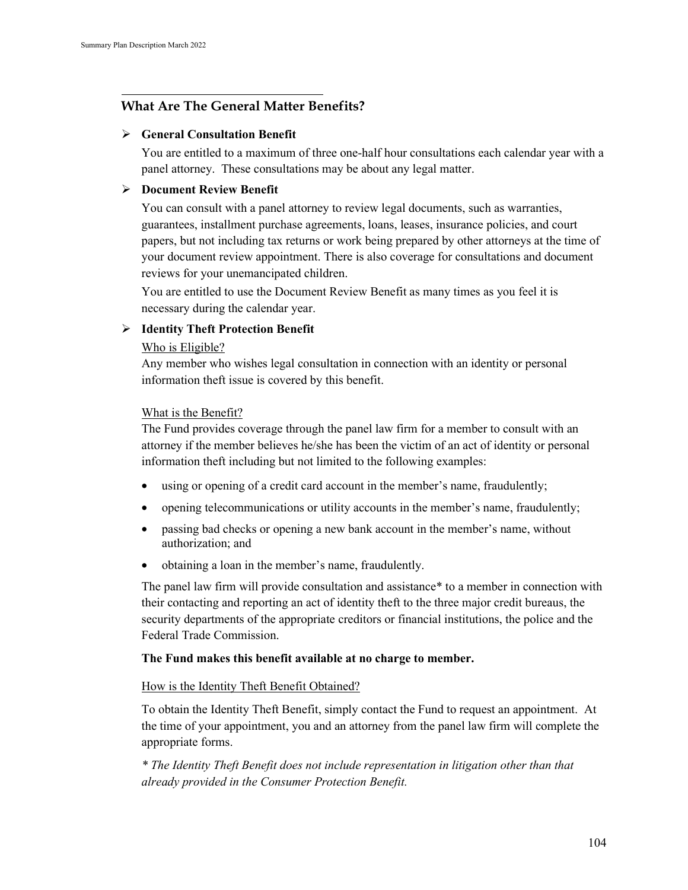## **What Are The General Matter Benefits?**

#### **General Consultation Benefit**

You are entitled to a maximum of three one-half hour consultations each calendar year with a panel attorney. These consultations may be about any legal matter.

## **Document Review Benefit**

You can consult with a panel attorney to review legal documents, such as warranties, guarantees, installment purchase agreements, loans, leases, insurance policies, and court papers, but not including tax returns or work being prepared by other attorneys at the time of your document review appointment. There is also coverage for consultations and document reviews for your unemancipated children.

You are entitled to use the Document Review Benefit as many times as you feel it is necessary during the calendar year.

## **Identity Theft Protection Benefit**

### Who is Eligible?

Any member who wishes legal consultation in connection with an identity or personal information theft issue is covered by this benefit.

### What is the Benefit?

The Fund provides coverage through the panel law firm for a member to consult with an attorney if the member believes he/she has been the victim of an act of identity or personal information theft including but not limited to the following examples:

- using or opening of a credit card account in the member's name, fraudulently;
- opening telecommunications or utility accounts in the member's name, fraudulently;
- passing bad checks or opening a new bank account in the member's name, without authorization; and
- obtaining a loan in the member's name, fraudulently.

The panel law firm will provide consultation and assistance\* to a member in connection with their contacting and reporting an act of identity theft to the three major credit bureaus, the security departments of the appropriate creditors or financial institutions, the police and the Federal Trade Commission.

## **The Fund makes this benefit available at no charge to member.**

#### How is the Identity Theft Benefit Obtained?

To obtain the Identity Theft Benefit, simply contact the Fund to request an appointment. At the time of your appointment, you and an attorney from the panel law firm will complete the appropriate forms.

*\* The Identity Theft Benefit does not include representation in litigation other than that already provided in the Consumer Protection Benefit.*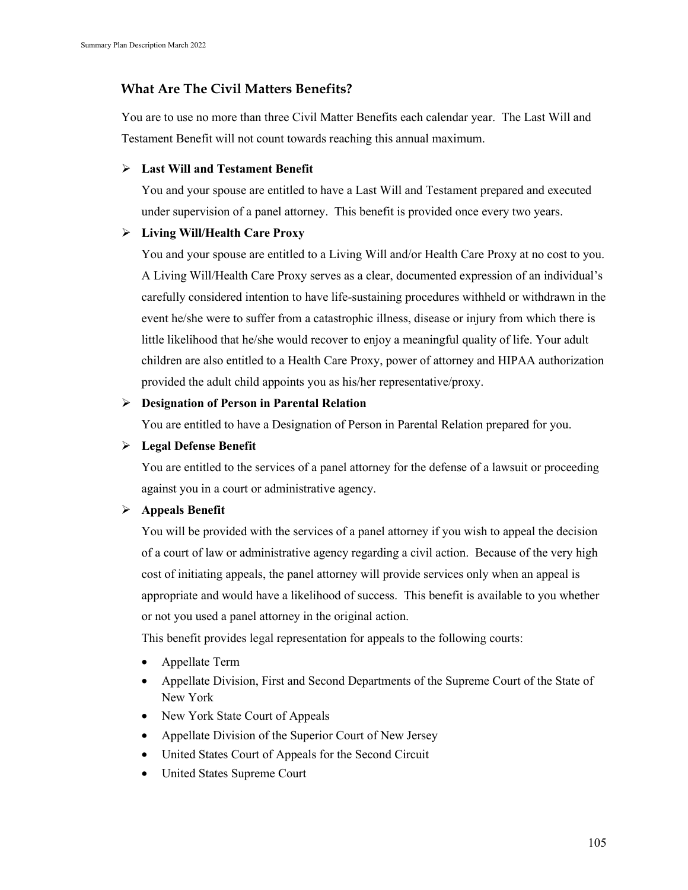## **What Are The Civil Matters Benefits?**

You are to use no more than three Civil Matter Benefits each calendar year. The Last Will and Testament Benefit will not count towards reaching this annual maximum.

#### **Last Will and Testament Benefit**

You and your spouse are entitled to have a Last Will and Testament prepared and executed under supervision of a panel attorney. This benefit is provided once every two years.

### **Living Will/Health Care Proxy**

You and your spouse are entitled to a Living Will and/or Health Care Proxy at no cost to you. A Living Will/Health Care Proxy serves as a clear, documented expression of an individual's carefully considered intention to have life-sustaining procedures withheld or withdrawn in the event he/she were to suffer from a catastrophic illness, disease or injury from which there is little likelihood that he/she would recover to enjoy a meaningful quality of life. Your adult children are also entitled to a Health Care Proxy, power of attorney and HIPAA authorization provided the adult child appoints you as his/her representative/proxy.

#### **Designation of Person in Parental Relation**

You are entitled to have a Designation of Person in Parental Relation prepared for you.

#### **Legal Defense Benefit**

You are entitled to the services of a panel attorney for the defense of a lawsuit or proceeding against you in a court or administrative agency.

## **Appeals Benefit**

You will be provided with the services of a panel attorney if you wish to appeal the decision of a court of law or administrative agency regarding a civil action. Because of the very high cost of initiating appeals, the panel attorney will provide services only when an appeal is appropriate and would have a likelihood of success. This benefit is available to you whether or not you used a panel attorney in the original action.

This benefit provides legal representation for appeals to the following courts:

- Appellate Term
- Appellate Division, First and Second Departments of the Supreme Court of the State of New York
- New York State Court of Appeals
- Appellate Division of the Superior Court of New Jersey
- United States Court of Appeals for the Second Circuit
- United States Supreme Court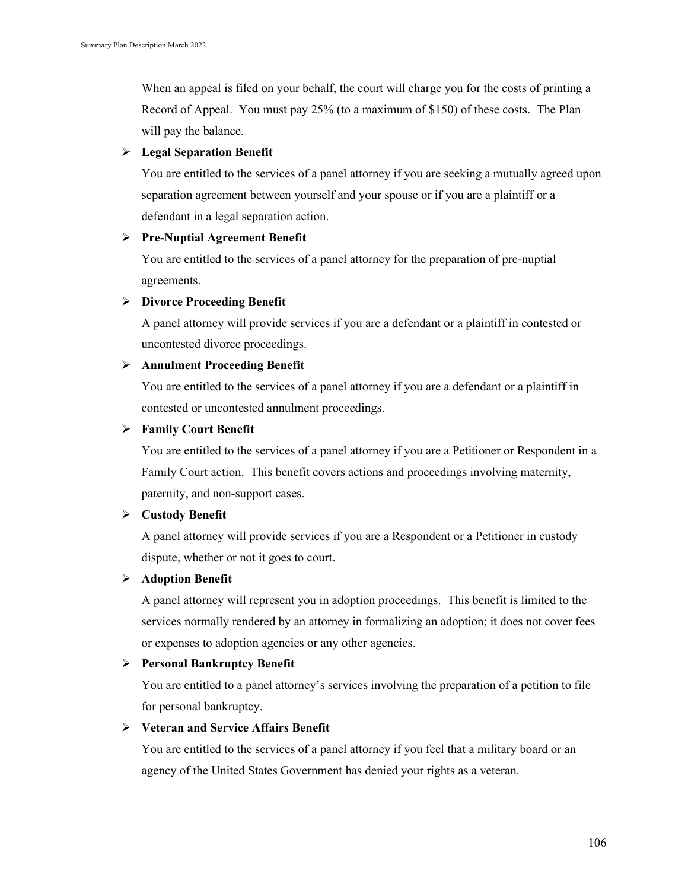When an appeal is filed on your behalf, the court will charge you for the costs of printing a Record of Appeal. You must pay 25% (to a maximum of \$150) of these costs. The Plan will pay the balance.

#### **Legal Separation Benefit**

You are entitled to the services of a panel attorney if you are seeking a mutually agreed upon separation agreement between yourself and your spouse or if you are a plaintiff or a defendant in a legal separation action.

#### **Pre-Nuptial Agreement Benefit**

You are entitled to the services of a panel attorney for the preparation of pre-nuptial agreements.

### **Divorce Proceeding Benefit**

A panel attorney will provide services if you are a defendant or a plaintiff in contested or uncontested divorce proceedings.

### **Annulment Proceeding Benefit**

You are entitled to the services of a panel attorney if you are a defendant or a plaintiff in contested or uncontested annulment proceedings.

### **Family Court Benefit**

You are entitled to the services of a panel attorney if you are a Petitioner or Respondent in a Family Court action. This benefit covers actions and proceedings involving maternity, paternity, and non-support cases.

## **Custody Benefit**

A panel attorney will provide services if you are a Respondent or a Petitioner in custody dispute, whether or not it goes to court.

## **Adoption Benefit**

A panel attorney will represent you in adoption proceedings. This benefit is limited to the services normally rendered by an attorney in formalizing an adoption; it does not cover fees or expenses to adoption agencies or any other agencies.

#### **Personal Bankruptcy Benefit**

You are entitled to a panel attorney's services involving the preparation of a petition to file for personal bankruptcy.

#### **Veteran and Service Affairs Benefit**

You are entitled to the services of a panel attorney if you feel that a military board or an agency of the United States Government has denied your rights as a veteran.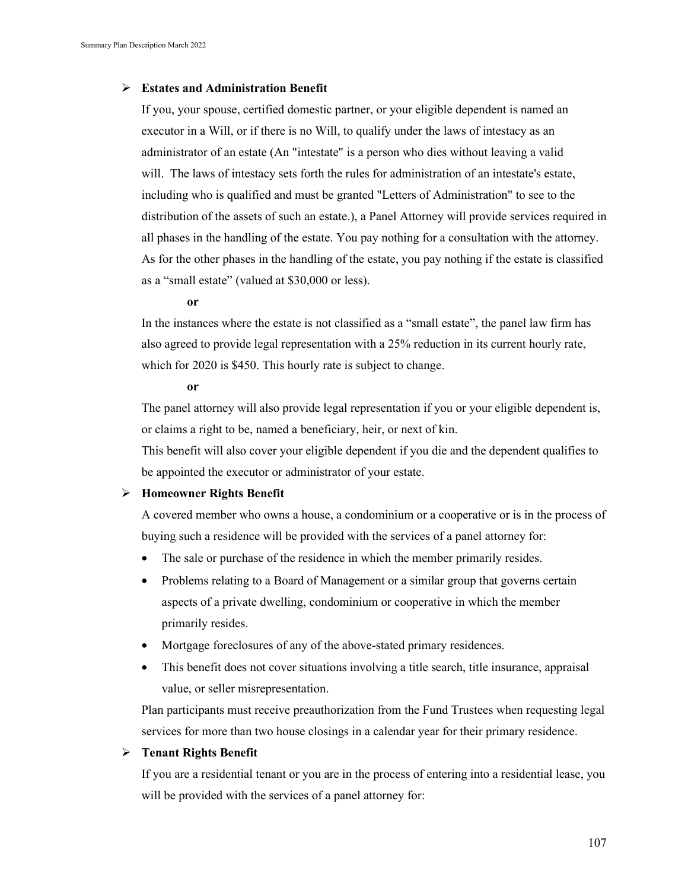#### **Estates and Administration Benefit**

If you, your spouse, certified domestic partner, or your eligible dependent is named an executor in a Will, or if there is no Will, to qualify under the laws of intestacy as an administrator of an estate (An "intestate" is a person who dies without leaving a valid will. The laws of intestacy sets forth the rules for administration of an intestate's estate, including who is qualified and must be granted "Letters of Administration" to see to the distribution of the assets of such an estate.), a Panel Attorney will provide services required in all phases in the handling of the estate. You pay nothing for a consultation with the attorney. As for the other phases in the handling of the estate, you pay nothing if the estate is classified as a "small estate" (valued at \$30,000 or less).

#### **or**

In the instances where the estate is not classified as a "small estate", the panel law firm has also agreed to provide legal representation with a 25% reduction in its current hourly rate, which for 2020 is \$450. This hourly rate is subject to change.

#### **or**

The panel attorney will also provide legal representation if you or your eligible dependent is, or claims a right to be, named a beneficiary, heir, or next of kin.

This benefit will also cover your eligible dependent if you die and the dependent qualifies to be appointed the executor or administrator of your estate.

#### **Homeowner Rights Benefit**

A covered member who owns a house, a condominium or a cooperative or is in the process of buying such a residence will be provided with the services of a panel attorney for:

- The sale or purchase of the residence in which the member primarily resides.
- Problems relating to a Board of Management or a similar group that governs certain aspects of a private dwelling, condominium or cooperative in which the member primarily resides.
- Mortgage foreclosures of any of the above-stated primary residences.
- This benefit does not cover situations involving a title search, title insurance, appraisal value, or seller misrepresentation.

Plan participants must receive preauthorization from the Fund Trustees when requesting legal services for more than two house closings in a calendar year for their primary residence.

#### **Tenant Rights Benefit**

If you are a residential tenant or you are in the process of entering into a residential lease, you will be provided with the services of a panel attorney for: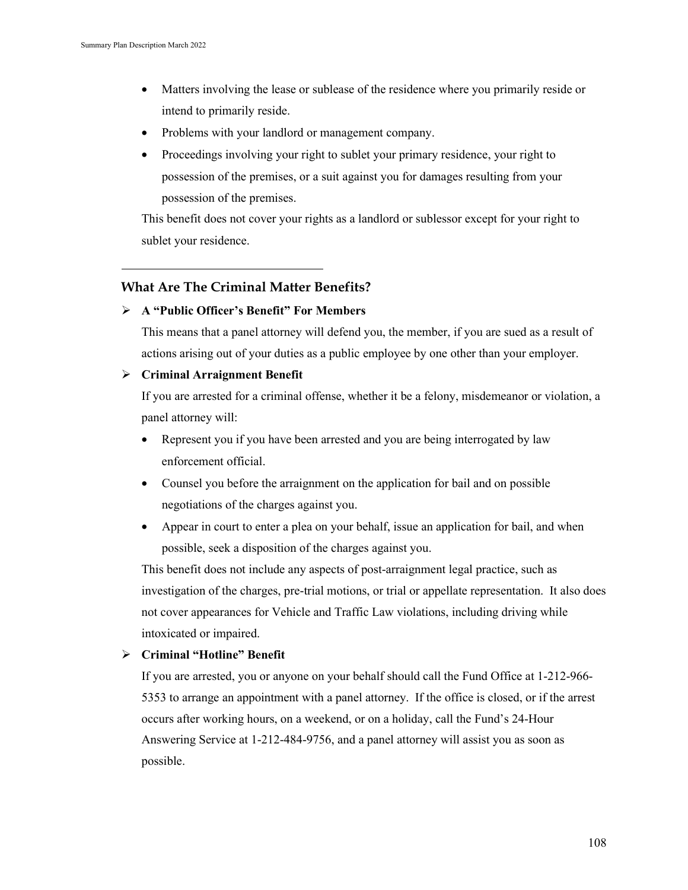- Matters involving the lease or sublease of the residence where you primarily reside or intend to primarily reside.
- Problems with your landlord or management company.
- Proceedings involving your right to sublet your primary residence, your right to possession of the premises, or a suit against you for damages resulting from your possession of the premises.

This benefit does not cover your rights as a landlord or sublessor except for your right to sublet your residence.

### **What Are The Criminal Matter Benefits?**

#### **A "Public Officer's Benefit" For Members**

This means that a panel attorney will defend you, the member, if you are sued as a result of actions arising out of your duties as a public employee by one other than your employer.

#### **Criminal Arraignment Benefit**

If you are arrested for a criminal offense, whether it be a felony, misdemeanor or violation, a panel attorney will:

- Represent you if you have been arrested and you are being interrogated by law enforcement official.
- Counsel you before the arraignment on the application for bail and on possible negotiations of the charges against you.
- Appear in court to enter a plea on your behalf, issue an application for bail, and when possible, seek a disposition of the charges against you.

This benefit does not include any aspects of post-arraignment legal practice, such as investigation of the charges, pre-trial motions, or trial or appellate representation. It also does not cover appearances for Vehicle and Traffic Law violations, including driving while intoxicated or impaired.

#### **Criminal "Hotline" Benefit**

If you are arrested, you or anyone on your behalf should call the Fund Office at 1-212-966- 5353 to arrange an appointment with a panel attorney. If the office is closed, or if the arrest occurs after working hours, on a weekend, or on a holiday, call the Fund's 24-Hour Answering Service at 1-212-484-9756, and a panel attorney will assist you as soon as possible.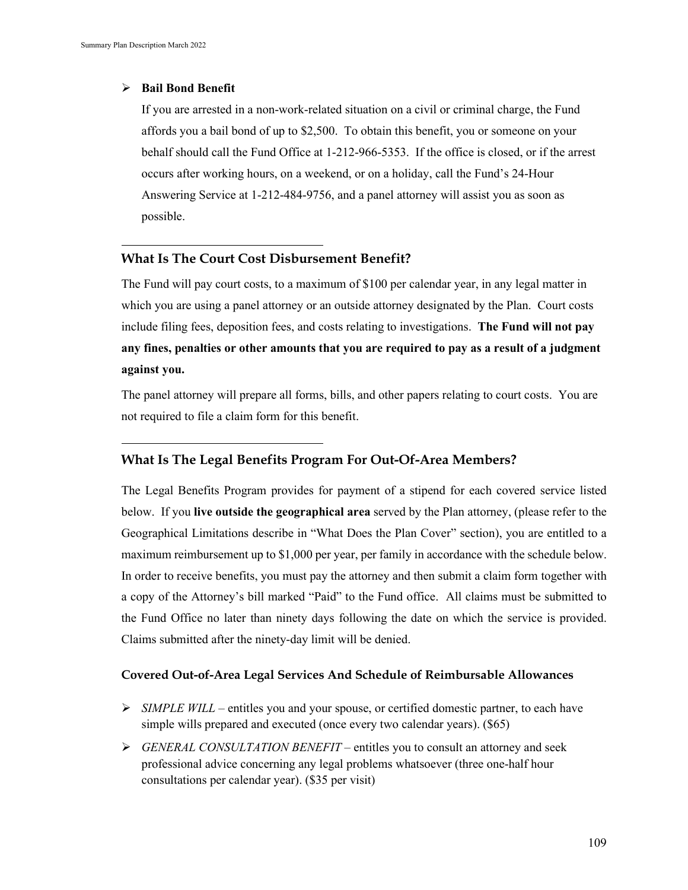#### **Bail Bond Benefit**

If you are arrested in a non-work-related situation on a civil or criminal charge, the Fund affords you a bail bond of up to \$2,500. To obtain this benefit, you or someone on your behalf should call the Fund Office at 1-212-966-5353. If the office is closed, or if the arrest occurs after working hours, on a weekend, or on a holiday, call the Fund's 24-Hour Answering Service at 1-212-484-9756, and a panel attorney will assist you as soon as possible.

## **What Is The Court Cost Disbursement Benefit?**

The Fund will pay court costs, to a maximum of \$100 per calendar year, in any legal matter in which you are using a panel attorney or an outside attorney designated by the Plan. Court costs include filing fees, deposition fees, and costs relating to investigations. **The Fund will not pay any fines, penalties or other amounts that you are required to pay as a result of a judgment against you.**

The panel attorney will prepare all forms, bills, and other papers relating to court costs. You are not required to file a claim form for this benefit.

## **What Is The Legal Benefits Program For Out-Of-Area Members?**

The Legal Benefits Program provides for payment of a stipend for each covered service listed below. If you **live outside the geographical area** served by the Plan attorney, (please refer to the Geographical Limitations describe in "What Does the Plan Cover" section), you are entitled to a maximum reimbursement up to \$1,000 per year, per family in accordance with the schedule below. In order to receive benefits, you must pay the attorney and then submit a claim form together with a copy of the Attorney's bill marked "Paid" to the Fund office. All claims must be submitted to the Fund Office no later than ninety days following the date on which the service is provided. Claims submitted after the ninety-day limit will be denied.

#### **Covered Out-of-Area Legal Services And Schedule of Reimbursable Allowances**

- **►** *SIMPLE WILL* entitles you and your spouse, or certified domestic partner, to each have simple wills prepared and executed (once every two calendar years). (\$65)
- *GENERAL CONSULTATION BENEFIT –* entitles you to consult an attorney and seek professional advice concerning any legal problems whatsoever (three one-half hour consultations per calendar year). (\$35 per visit)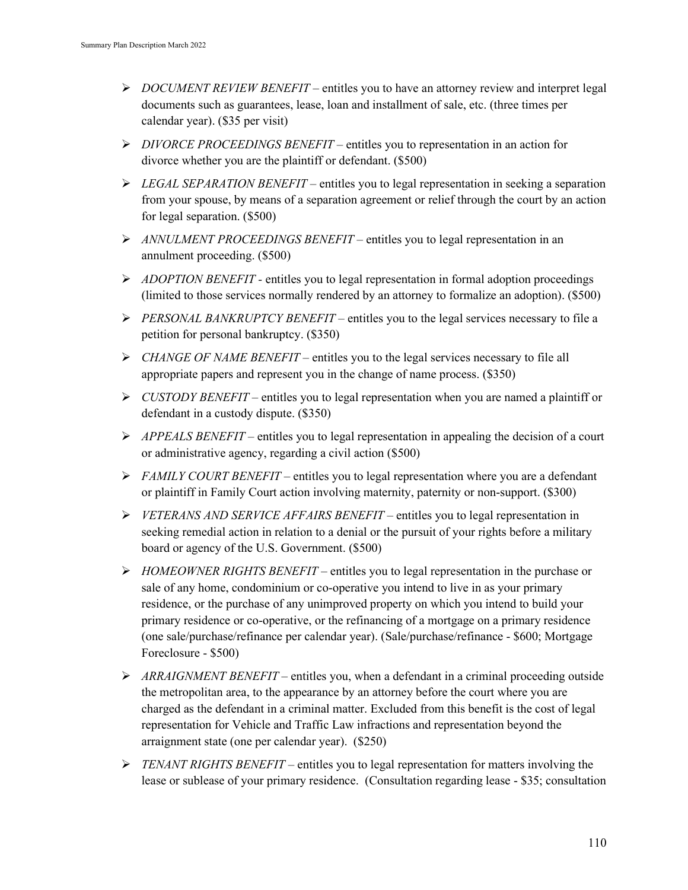- *DOCUMENT REVIEW BENEFIT –* entitles you to have an attorney review and interpret legal documents such as guarantees, lease, loan and installment of sale, etc. (three times per calendar year). (\$35 per visit)
- *DIVORCE PROCEEDINGS BENEFIT –* entitles you to representation in an action for divorce whether you are the plaintiff or defendant. (\$500)
- *LEGAL SEPARATION BENEFIT –* entitles you to legal representation in seeking a separation from your spouse, by means of a separation agreement or relief through the court by an action for legal separation. (\$500)
- *ANNULMENT PROCEEDINGS BENEFIT –* entitles you to legal representation in an annulment proceeding. (\$500)
- *ADOPTION BENEFIT -* entitles you to legal representation in formal adoption proceedings (limited to those services normally rendered by an attorney to formalize an adoption). (\$500)
- *PERSONAL BANKRUPTCY BENEFIT –* entitles you to the legal services necessary to file a petition for personal bankruptcy. (\$350)
- *CHANGE OF NAME BENEFIT –* entitles you to the legal services necessary to file all appropriate papers and represent you in the change of name process. (\$350)
- *CUSTODY BENEFIT –* entitles you to legal representation when you are named a plaintiff or defendant in a custody dispute. (\$350)
- *APPEALS BENEFIT –* entitles you to legal representation in appealing the decision of a court or administrative agency, regarding a civil action (\$500)
- *FAMILY COURT BENEFIT –* entitles you to legal representation where you are a defendant or plaintiff in Family Court action involving maternity, paternity or non-support. (\$300)
- *VETERANS AND SERVICE AFFAIRS BENEFIT –* entitles you to legal representation in seeking remedial action in relation to a denial or the pursuit of your rights before a military board or agency of the U.S. Government. (\$500)
- *HOMEOWNER RIGHTS BENEFIT –* entitles you to legal representation in the purchase or sale of any home, condominium or co-operative you intend to live in as your primary residence, or the purchase of any unimproved property on which you intend to build your primary residence or co-operative, or the refinancing of a mortgage on a primary residence (one sale/purchase/refinance per calendar year). (Sale/purchase/refinance - \$600; Mortgage Foreclosure - \$500)
- *ARRAIGNMENT BENEFIT –* entitles you, when a defendant in a criminal proceeding outside the metropolitan area, to the appearance by an attorney before the court where you are charged as the defendant in a criminal matter. Excluded from this benefit is the cost of legal representation for Vehicle and Traffic Law infractions and representation beyond the arraignment state (one per calendar year). (\$250)
- *TENANT RIGHTS BENEFIT –* entitles you to legal representation for matters involving the lease or sublease of your primary residence. (Consultation regarding lease - \$35; consultation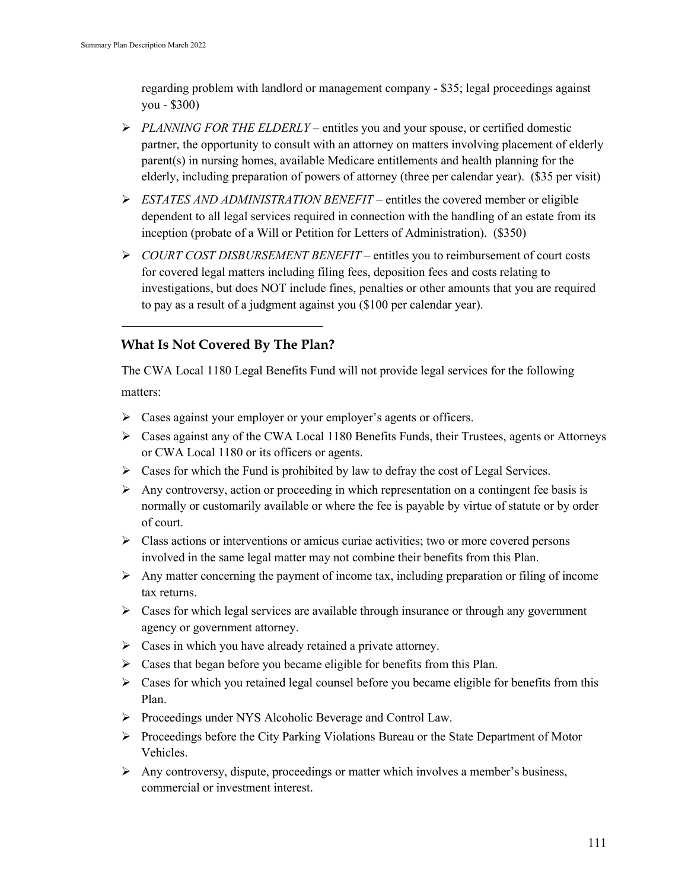regarding problem with landlord or management company - \$35; legal proceedings against you - \$300)

- *PLANNING FOR THE ELDERLY –* entitles you and your spouse, or certified domestic partner, the opportunity to consult with an attorney on matters involving placement of elderly parent(s) in nursing homes, available Medicare entitlements and health planning for the elderly, including preparation of powers of attorney (three per calendar year). (\$35 per visit)
- *ESTATES AND ADMINISTRATION BENEFIT –* entitles the covered member or eligible dependent to all legal services required in connection with the handling of an estate from its inception (probate of a Will or Petition for Letters of Administration). (\$350)
- *COURT COST DISBURSEMENT BENEFIT –* entitles you to reimbursement of court costs for covered legal matters including filing fees, deposition fees and costs relating to investigations, but does NOT include fines, penalties or other amounts that you are required to pay as a result of a judgment against you (\$100 per calendar year).

## **What Is Not Covered By The Plan?**

The CWA Local 1180 Legal Benefits Fund will not provide legal services for the following matters:

- $\triangleright$  Cases against your employer or your employer's agents or officers.
- $\triangleright$  Cases against any of the CWA Local 1180 Benefits Funds, their Trustees, agents or Attorneys or CWA Local 1180 or its officers or agents.
- $\triangleright$  Cases for which the Fund is prohibited by law to defray the cost of Legal Services.
- $\triangleright$  Any controversy, action or proceeding in which representation on a contingent fee basis is normally or customarily available or where the fee is payable by virtue of statute or by order of court.
- $\triangleright$  Class actions or interventions or amicus curiae activities; two or more covered persons involved in the same legal matter may not combine their benefits from this Plan.
- Any matter concerning the payment of income tax, including preparation or filing of income tax returns.
- $\triangleright$  Cases for which legal services are available through insurance or through any government agency or government attorney.
- $\triangleright$  Cases in which you have already retained a private attorney.
- $\triangleright$  Cases that began before you became eligible for benefits from this Plan.
- $\triangleright$  Cases for which you retained legal counsel before you became eligible for benefits from this Plan.
- Proceedings under NYS Alcoholic Beverage and Control Law.
- $\triangleright$  Proceedings before the City Parking Violations Bureau or the State Department of Motor Vehicles.
- $\triangleright$  Any controversy, dispute, proceedings or matter which involves a member's business, commercial or investment interest.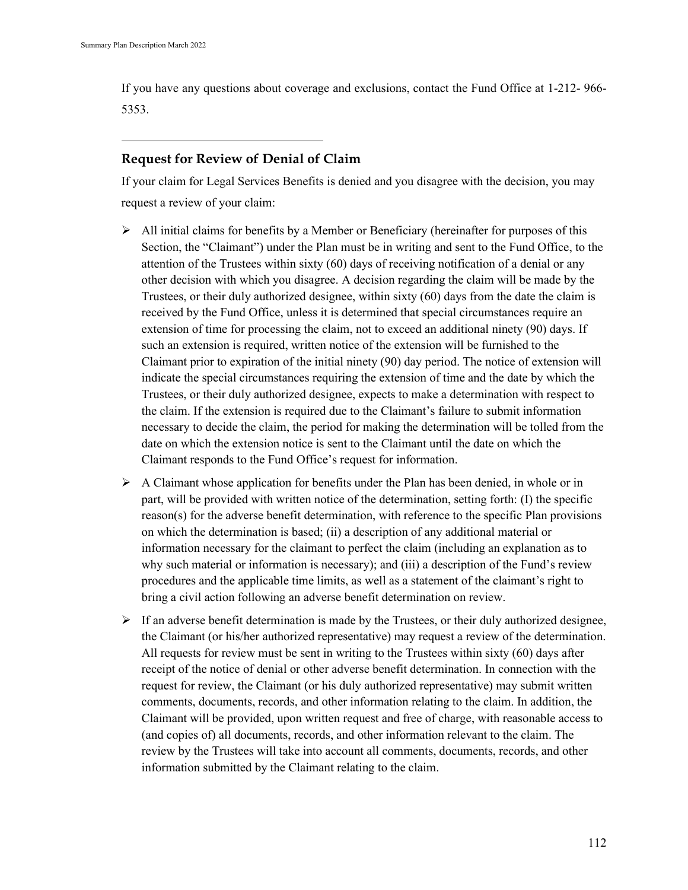If you have any questions about coverage and exclusions, contact the Fund Office at 1-212- 966- 5353.

## **Request for Review of Denial of Claim**

If your claim for Legal Services Benefits is denied and you disagree with the decision, you may request a review of your claim:

- $\triangleright$  All initial claims for benefits by a Member or Beneficiary (hereinafter for purposes of this Section, the "Claimant") under the Plan must be in writing and sent to the Fund Office, to the attention of the Trustees within sixty (60) days of receiving notification of a denial or any other decision with which you disagree. A decision regarding the claim will be made by the Trustees, or their duly authorized designee, within sixty (60) days from the date the claim is received by the Fund Office, unless it is determined that special circumstances require an extension of time for processing the claim, not to exceed an additional ninety (90) days. If such an extension is required, written notice of the extension will be furnished to the Claimant prior to expiration of the initial ninety (90) day period. The notice of extension will indicate the special circumstances requiring the extension of time and the date by which the Trustees, or their duly authorized designee, expects to make a determination with respect to the claim. If the extension is required due to the Claimant's failure to submit information necessary to decide the claim, the period for making the determination will be tolled from the date on which the extension notice is sent to the Claimant until the date on which the Claimant responds to the Fund Office's request for information.
- $\triangleright$  A Claimant whose application for benefits under the Plan has been denied, in whole or in part, will be provided with written notice of the determination, setting forth: (I) the specific reason(s) for the adverse benefit determination, with reference to the specific Plan provisions on which the determination is based; (ii) a description of any additional material or information necessary for the claimant to perfect the claim (including an explanation as to why such material or information is necessary); and (iii) a description of the Fund's review procedures and the applicable time limits, as well as a statement of the claimant's right to bring a civil action following an adverse benefit determination on review.
- $\triangleright$  If an adverse benefit determination is made by the Trustees, or their duly authorized designee, the Claimant (or his/her authorized representative) may request a review of the determination. All requests for review must be sent in writing to the Trustees within sixty (60) days after receipt of the notice of denial or other adverse benefit determination. In connection with the request for review, the Claimant (or his duly authorized representative) may submit written comments, documents, records, and other information relating to the claim. In addition, the Claimant will be provided, upon written request and free of charge, with reasonable access to (and copies of) all documents, records, and other information relevant to the claim. The review by the Trustees will take into account all comments, documents, records, and other information submitted by the Claimant relating to the claim.